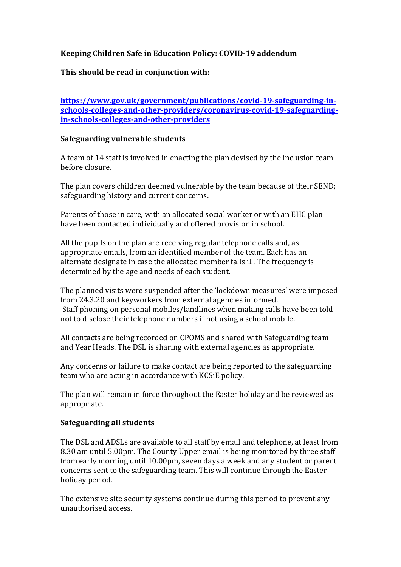# **Keeping Children Safe in Education Policy: COVID‐19 addendum**

# **This should be read in conjunction with:**

**https://www.gov.uk/government/publications/covid‐19‐safeguarding‐in‐ schools‐colleges‐and‐other‐providers/coronavirus‐covid‐19‐safeguarding‐ in‐schools‐colleges‐and‐other‐providers**

#### **Safeguarding vulnerable students**

A team of 14 staff is involved in enacting the plan devised by the inclusion team before closure.

The plan covers children deemed vulnerable by the team because of their SEND; safeguarding history and current concerns.

Parents of those in care, with an allocated social worker or with an EHC plan have been contacted individually and offered provision in school.

All the pupils on the plan are receiving regular telephone calls and, as appropriate emails, from an identified member of the team. Each has an alternate designate in case the allocated member falls ill. The frequency is determined by the age and needs of each student.

The planned visits were suspended after the 'lockdown measures' were imposed from 24.3.20 and keyworkers from external agencies informed. Staff phoning on personal mobiles/landlines when making calls have been told not to disclose their telephone numbers if not using a school mobile.

All contacts are being recorded on CPOMS and shared with Safeguarding team and Year Heads. The DSL is sharing with external agencies as appropriate.

Any concerns or failure to make contact are being reported to the safeguarding team who are acting in accordance with KCSiE policy.

The plan will remain in force throughout the Easter holiday and be reviewed as appropriate.

## **Safeguarding all students**

The DSL and ADSLs are available to all staff by email and telephone, at least from 8.30 am until 5.00pm. The County Upper email is being monitored by three staff from early morning until 10.00pm, seven days a week and any student or parent concerns sent to the safeguarding team. This will continue through the Easter holiday period.

The extensive site security systems continue during this period to prevent any unauthorised access.